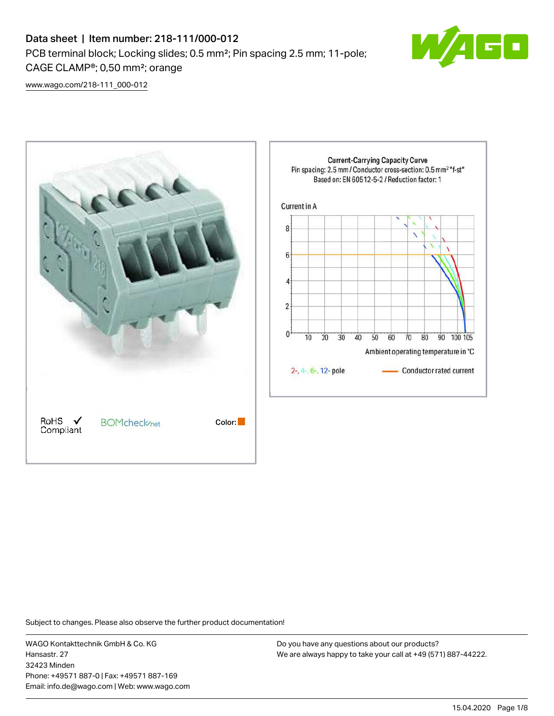# Data sheet | Item number: 218-111/000-012 PCB terminal block; Locking slides; 0.5 mm²; Pin spacing 2.5 mm; 11-pole; CAGE CLAMP®; 0,50 mm²; orange



[www.wago.com/218-111\\_000-012](http://www.wago.com/218-111_000-012)



Subject to changes. Please also observe the further product documentation!

WAGO Kontakttechnik GmbH & Co. KG Hansastr. 27 32423 Minden Phone: +49571 887-0 | Fax: +49571 887-169 Email: info.de@wago.com | Web: www.wago.com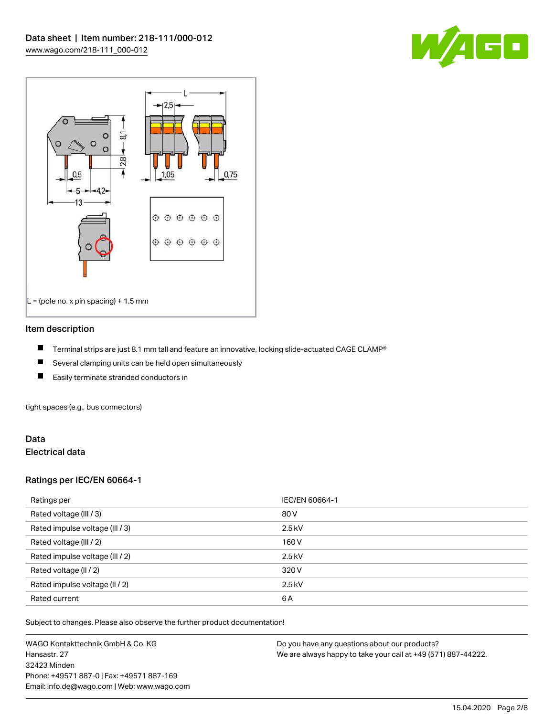



#### Item description

- П Terminal strips are just 8.1 mm tall and feature an innovative, locking slide-actuated CAGE CLAMP®
- $\blacksquare$ Several clamping units can be held open simultaneously
- П Easily terminate stranded conductors in

tight spaces (e.g., bus connectors)

## Data Electrical data

## Ratings per IEC/EN 60664-1

| Ratings per                     | IEC/EN 60664-1 |
|---------------------------------|----------------|
| Rated voltage (III / 3)         | 80 V           |
| Rated impulse voltage (III / 3) | $2.5$ kV       |
| Rated voltage (III / 2)         | 160 V          |
| Rated impulse voltage (III / 2) | $2.5$ kV       |
| Rated voltage (II / 2)          | 320 V          |
| Rated impulse voltage (II / 2)  | $2.5$ kV       |
| Rated current                   | 6A             |

Subject to changes. Please also observe the further product documentation!

WAGO Kontakttechnik GmbH & Co. KG Hansastr. 27 32423 Minden Phone: +49571 887-0 | Fax: +49571 887-169 Email: info.de@wago.com | Web: www.wago.com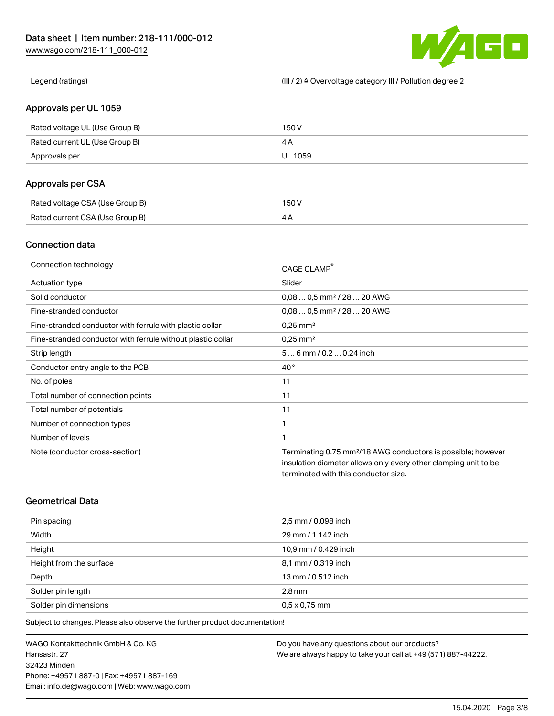

Legend (ratings) (III / 2) ≙ Overvoltage category III / Pollution degree 2

## Approvals per UL 1059

| Rated voltage UL (Use Group B) | 150 V   |
|--------------------------------|---------|
| Rated current UL (Use Group B) |         |
| Approvals per                  | UL 1059 |

## Approvals per CSA

| Rated voltage CSA (Use Group B) | 150 V |
|---------------------------------|-------|
| Rated current CSA (Use Group B) |       |

## Connection data

| Connection technology                                       | CAGE CLAMP                                                               |
|-------------------------------------------------------------|--------------------------------------------------------------------------|
| Actuation type                                              | Slider                                                                   |
| Solid conductor                                             | $0.080.5$ mm <sup>2</sup> / 28  20 AWG                                   |
| Fine-stranded conductor                                     | $0.080.5$ mm <sup>2</sup> / 28  20 AWG                                   |
| Fine-stranded conductor with ferrule with plastic collar    | $0.25$ mm <sup>2</sup>                                                   |
| Fine-stranded conductor with ferrule without plastic collar | $0.25$ mm <sup>2</sup>                                                   |
| Strip length                                                | $56$ mm $/ 0.20.24$ inch                                                 |
| Conductor entry angle to the PCB                            | $40^{\circ}$                                                             |
| No. of poles                                                | 11                                                                       |
| Total number of connection points                           | 11                                                                       |
| Total number of potentials                                  | 11                                                                       |
| Number of connection types                                  | 1                                                                        |
| Number of levels                                            | 1                                                                        |
| Note (conductor cross-section)                              | Terminating 0.75 mm <sup>2</sup> /18 AWG conductors is possible; however |
|                                                             | insulation diameter allows only every other clamping unit to be          |
|                                                             | terminated with this conductor size.                                     |

# Geometrical Data

| Pin spacing             | 2,5 mm / 0.098 inch  |
|-------------------------|----------------------|
| Width                   | 29 mm / 1.142 inch   |
| Height                  | 10,9 mm / 0.429 inch |
| Height from the surface | 8,1 mm / 0.319 inch  |
| Depth                   | 13 mm / 0.512 inch   |
| Solder pin length       | $2.8$ mm             |
| Solder pin dimensions   | $0.5 \times 0.75$ mm |

Subject to changes. Please also observe the further product documentation!

WAGO Kontakttechnik GmbH & Co. KG Hansastr. 27 32423 Minden Phone: +49571 887-0 | Fax: +49571 887-169 Email: info.de@wago.com | Web: www.wago.com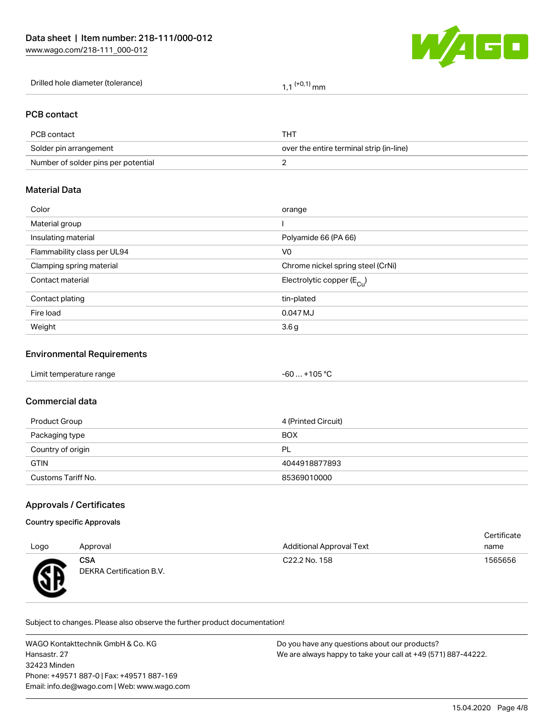

Drilled hole diameter (tolerance)  $1,1$   $(+0,1)$  mm

## PCB contact

| PCB contact                         | THT.                                     |
|-------------------------------------|------------------------------------------|
| Solder pin arrangement              | over the entire terminal strip (in-line) |
| Number of solder pins per potential |                                          |

## Material Data

| Color                       | orange                                |
|-----------------------------|---------------------------------------|
| Material group              |                                       |
| Insulating material         | Polyamide 66 (PA 66)                  |
| Flammability class per UL94 | V <sub>0</sub>                        |
| Clamping spring material    | Chrome nickel spring steel (CrNi)     |
| Contact material            | Electrolytic copper $(E_{\text{Cl}})$ |
| Contact plating             | tin-plated                            |
| Fire load                   | 0.047 MJ                              |
| Weight                      | 3.6 <sub>g</sub>                      |

#### Environmental Requirements

#### Commercial data

| Product Group      | 4 (Printed Circuit) |
|--------------------|---------------------|
| Packaging type     | <b>BOX</b>          |
| Country of origin  | PL                  |
| <b>GTIN</b>        | 4044918877893       |
| Customs Tariff No. | 85369010000         |

## Approvals / Certificates

#### Country specific Approvals

|      |                                 |                                 | Gerundate |
|------|---------------------------------|---------------------------------|-----------|
| Logo | Approval                        | <b>Additional Approval Text</b> | name      |
| Æ    | CSA<br>DEKRA Certification B.V. | C22.2 No. 158                   | 1565656   |

Subject to changes. Please also observe the further product documentation!

WAGO Kontakttechnik GmbH & Co. KG Hansastr. 27 32423 Minden Phone: +49571 887-0 | Fax: +49571 887-169 Email: info.de@wago.com | Web: www.wago.com

Do you have any questions about our products? We are always happy to take your call at +49 (571) 887-44222.

Certificate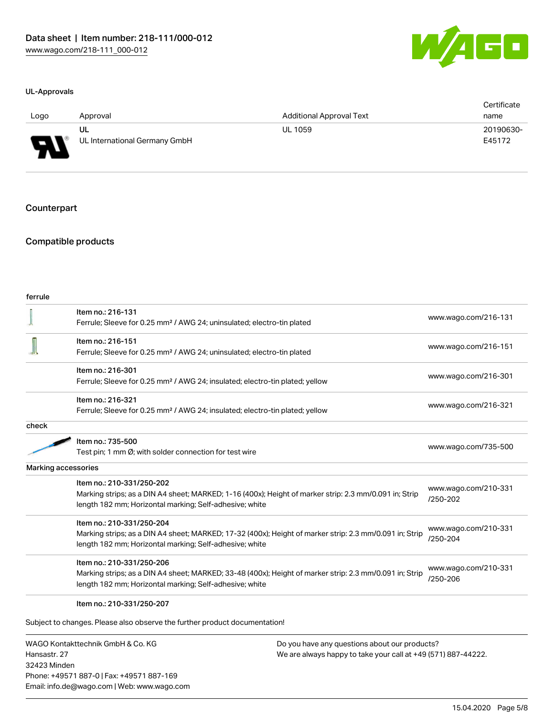

#### UL-Approvals

| Logo                          | Approval                      | <b>Additional Approval Text</b> | Certificate<br>name |
|-------------------------------|-------------------------------|---------------------------------|---------------------|
|                               | UL                            | UL 1059                         | 20190630-           |
| J<br>$\overline{\phantom{a}}$ | UL International Germany GmbH |                                 | E45172              |

#### Counterpart

## Compatible products

| ferrule |                                                                                                         |                                      |
|---------|---------------------------------------------------------------------------------------------------------|--------------------------------------|
|         | Item no.: 216-131                                                                                       | www.wago.com/216-131                 |
|         | Ferrule; Sleeve for 0.25 mm <sup>2</sup> / AWG 24; uninsulated; electro-tin plated                      |                                      |
|         | Item no.: 216-151                                                                                       |                                      |
|         | Ferrule; Sleeve for 0.25 mm <sup>2</sup> / AWG 24; uninsulated; electro-tin plated                      | www.wago.com/216-151                 |
|         | Item no.: 216-301                                                                                       |                                      |
|         | Ferrule; Sleeve for 0.25 mm <sup>2</sup> / AWG 24; insulated; electro-tin plated; yellow                | www.wago.com/216-301                 |
|         | Item no.: 216-321                                                                                       |                                      |
|         | Ferrule; Sleeve for 0.25 mm <sup>2</sup> / AWG 24; insulated; electro-tin plated; yellow                | www.wago.com/216-321                 |
| check   |                                                                                                         |                                      |
|         | Item no.: 735-500                                                                                       |                                      |
|         | Test pin; 1 mm Ø; with solder connection for test wire                                                  | www.wago.com/735-500                 |
|         | <b>Marking accessories</b>                                                                              |                                      |
|         | Item no.: 210-331/250-202                                                                               |                                      |
|         | Marking strips; as a DIN A4 sheet; MARKED; 1-16 (400x); Height of marker strip: 2.3 mm/0.091 in; Strip  | www.wago.com/210-331<br>$/250 - 202$ |
|         | length 182 mm; Horizontal marking; Self-adhesive; white                                                 |                                      |
|         | Item no.: 210-331/250-204                                                                               |                                      |
|         | Marking strips; as a DIN A4 sheet; MARKED; 17-32 (400x); Height of marker strip: 2.3 mm/0.091 in; Strip | www.wago.com/210-331                 |
|         | length 182 mm; Horizontal marking; Self-adhesive; white                                                 | /250-204                             |
|         | Item no.: 210-331/250-206                                                                               |                                      |
|         | Marking strips; as a DIN A4 sheet; MARKED; 33-48 (400x); Height of marker strip: 2.3 mm/0.091 in; Strip | www.wago.com/210-331                 |
|         | length 182 mm; Horizontal marking; Self-adhesive; white                                                 | /250-206                             |
|         | Item no.: 210-331/250-207                                                                               |                                      |
|         |                                                                                                         |                                      |
|         | Subject to changes. Please also observe the further product documentation!                              |                                      |

WAGO Kontakttechnik GmbH & Co. KG Hansastr. 27 32423 Minden Phone: +49571 887-0 | Fax: +49571 887-169 Email: info.de@wago.com | Web: www.wago.com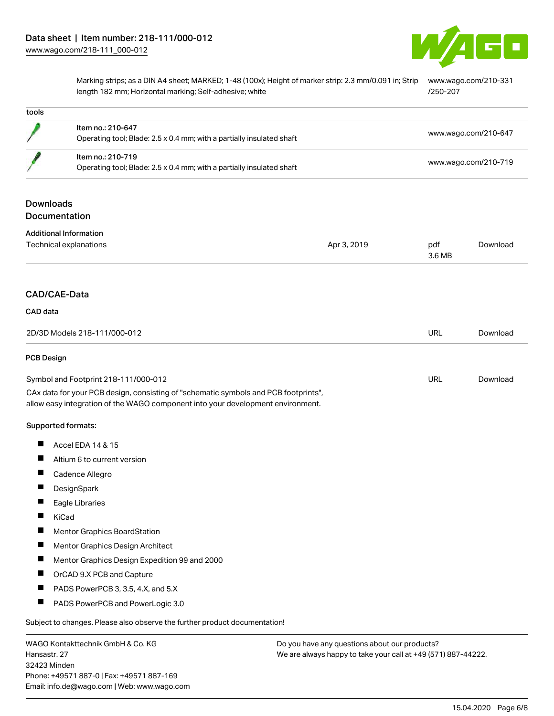

Marking strips; as a DIN A4 sheet; MARKED; 1-48 (100x); Height of marker strip: 2.3 mm/0.091 in; Strip [www.wago.com/210-331](http://www.wago.com/210-331/250-207) length 182 mm; Horizontal marking; Self-adhesive; white [/250-207](http://www.wago.com/210-331/250-207)

| tools                                                   |                                                                                                                                                                        |                                               |               |                      |  |
|---------------------------------------------------------|------------------------------------------------------------------------------------------------------------------------------------------------------------------------|-----------------------------------------------|---------------|----------------------|--|
|                                                         | Item no.: 210-647<br>Operating tool; Blade: 2.5 x 0.4 mm; with a partially insulated shaft                                                                             |                                               |               | www.wago.com/210-647 |  |
|                                                         | Item no.: 210-719<br>Operating tool; Blade: 2.5 x 0.4 mm; with a partially insulated shaft                                                                             |                                               |               | www.wago.com/210-719 |  |
| <b>Downloads</b>                                        | Documentation                                                                                                                                                          |                                               |               |                      |  |
| <b>Additional Information</b><br>Technical explanations |                                                                                                                                                                        | Apr 3, 2019                                   | pdf<br>3.6 MB | Download             |  |
|                                                         | CAD/CAE-Data                                                                                                                                                           |                                               |               |                      |  |
| CAD data                                                |                                                                                                                                                                        |                                               |               |                      |  |
| 2D/3D Models 218-111/000-012                            |                                                                                                                                                                        |                                               | <b>URL</b>    | Download             |  |
| <b>PCB Design</b>                                       |                                                                                                                                                                        |                                               |               |                      |  |
|                                                         | Symbol and Footprint 218-111/000-012                                                                                                                                   |                                               | <b>URL</b>    | Download             |  |
|                                                         | CAx data for your PCB design, consisting of "schematic symbols and PCB footprints",<br>allow easy integration of the WAGO component into your development environment. |                                               |               |                      |  |
|                                                         | Supported formats:                                                                                                                                                     |                                               |               |                      |  |
| Ш                                                       | Accel EDA 14 & 15                                                                                                                                                      |                                               |               |                      |  |
|                                                         | Altium 6 to current version                                                                                                                                            |                                               |               |                      |  |
| a ka                                                    | Cadence Allegro                                                                                                                                                        |                                               |               |                      |  |
|                                                         | DesignSpark                                                                                                                                                            |                                               |               |                      |  |
|                                                         | Eagle Libraries                                                                                                                                                        |                                               |               |                      |  |
| ш                                                       | KiCad                                                                                                                                                                  |                                               |               |                      |  |
|                                                         | Mentor Graphics BoardStation                                                                                                                                           |                                               |               |                      |  |
| П                                                       | Mentor Graphics Design Architect                                                                                                                                       |                                               |               |                      |  |
| ш                                                       | Mentor Graphics Design Expedition 99 and 2000                                                                                                                          |                                               |               |                      |  |
|                                                         | OrCAD 9.X PCB and Capture                                                                                                                                              |                                               |               |                      |  |
| Ш                                                       | PADS PowerPCB 3, 3.5, 4.X, and 5.X                                                                                                                                     |                                               |               |                      |  |
| ш                                                       | PADS PowerPCB and PowerLogic 3.0                                                                                                                                       |                                               |               |                      |  |
|                                                         | Subject to changes. Please also observe the further product documentation!                                                                                             |                                               |               |                      |  |
| WAGO Kontakttechnik GmbH & Co. KG                       |                                                                                                                                                                        | Do you have any questions about our products? |               |                      |  |

Hansastr. 27 32423 Minden Phone: +49571 887-0 | Fax: +49571 887-169 Email: info.de@wago.com | Web: www.wago.com We are always happy to take your call at +49 (571) 887-44222.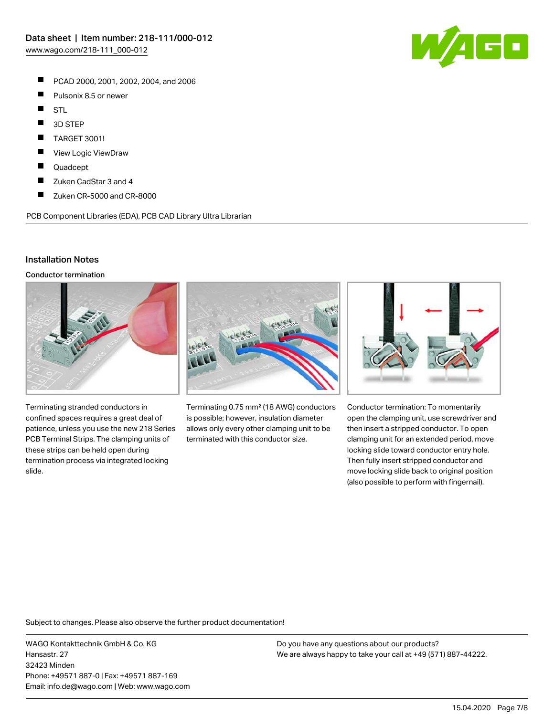- $\blacksquare$ PCAD 2000, 2001, 2002, 2004, and 2006
- $\blacksquare$ Pulsonix 8.5 or newer
- $\blacksquare$ **STL**
- $\blacksquare$ 3D STEP
- $\blacksquare$ TARGET 3001!
- $\blacksquare$ View Logic ViewDraw
- П Quadcept
- П Zuken CadStar 3 and 4
- $\blacksquare$ Zuken CR-5000 and CR-8000

PCB Component Libraries (EDA), PCB CAD Library Ultra Librarian

#### Installation Notes

Conductor termination



Terminating stranded conductors in confined spaces requires a great deal of patience, unless you use the new 218 Series PCB Terminal Strips. The clamping units of these strips can be held open during termination process via integrated locking slide.



Terminating 0.75 mm² (18 AWG) conductors is possible; however, insulation diameter allows only every other clamping unit to be terminated with this conductor size.



Conductor termination: To momentarily open the clamping unit, use screwdriver and then insert a stripped conductor. To open clamping unit for an extended period, move locking slide toward conductor entry hole. Then fully insert stripped conductor and move locking slide back to original position (also possible to perform with fingernail).

Subject to changes. Please also observe the further product documentation!

WAGO Kontakttechnik GmbH & Co. KG Hansastr. 27 32423 Minden Phone: +49571 887-0 | Fax: +49571 887-169 Email: info.de@wago.com | Web: www.wago.com